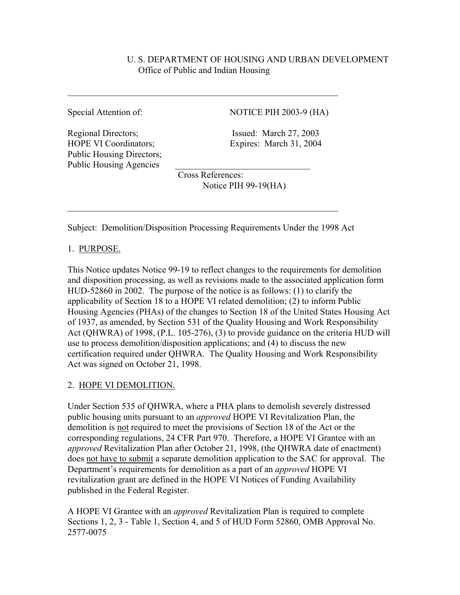# U. S. DEPARTMENT OF HOUSING AND URBAN DEVELOPMENT Office of Public and Indian Housing

Regional Directors; Issued: March 27, 2003 HOPE VI Coordinators; Expires: March 31, 2004 Public Housing Directors; Public Housing Agencies

Special Attention of: NOTICE PIH 2003-9 (HA)

 Cross References: Notice PIH 99-19(HA)

Subject: Demolition/Disposition Processing Requirements Under the 1998 Act

 $\mathcal{L}_\text{max}$  , and the contribution of the contribution of the contribution of the contribution of the contribution of the contribution of the contribution of the contribution of the contribution of the contribution of t

 $\mathcal{L}_\text{max}$  , and the contribution of the contribution of the contribution of the contribution of the contribution of the contribution of the contribution of the contribution of the contribution of the contribution of t

# 1. PURPOSE.

This Notice updates Notice 99-19 to reflect changes to the requirements for demolition and disposition processing, as well as revisions made to the associated application form HUD-52860 in 2002. The purpose of the notice is as follows: (1) to clarify the applicability of Section 18 to a HOPE VI related demolition; (2) to inform Public Housing Agencies (PHAs) of the changes to Section 18 of the United States Housing Act of 1937, as amended, by Section 531 of the Quality Housing and Work Responsibility Act (QHWRA) of 1998, (P.L. 105-276), (3) to provide guidance on the criteria HUD will use to process demolition/disposition applications; and (4) to discuss the new certification required under QHWRA. The Quality Housing and Work Responsibility Act was signed on October 21, 1998.

# 2. HOPE VI DEMOLITION.

Under Section 535 of QHWRA, where a PHA plans to demolish severely distressed public housing units pursuant to an *approved* HOPE VI Revitalization Plan, the demolition is not required to meet the provisions of Section 18 of the Act or the corresponding regulations, 24 CFR Part 970. Therefore, a HOPE VI Grantee with an *approved* Revitalization Plan after October 21, 1998, (the QHWRA date of enactment) does not have to submit a separate demolition application to the SAC for approval. The Department's requirements for demolition as a part of an *approved* HOPE VI revitalization grant are defined in the HOPE VI Notices of Funding Availability published in the Federal Register.

A HOPE VI Grantee with an *approved* Revitalization Plan is required to complete Sections 1, 2, 3 - Table 1, Section 4, and 5 of HUD Form 52860, OMB Approval No. 2577-0075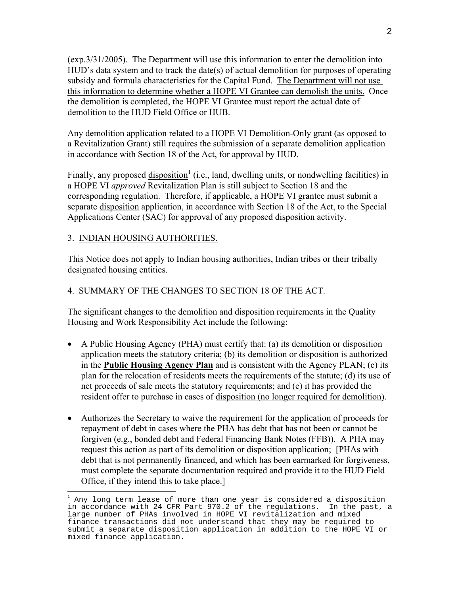(exp.3/31/2005). The Department will use this information to enter the demolition into HUD's data system and to track the date(s) of actual demolition for purposes of operating subsidy and formula characteristics for the Capital Fund. The Department will not use this information to determine whether a HOPE VI Grantee can demolish the units. Once the demolition is completed, the HOPE VI Grantee must report the actual date of demolition to the HUD Field Office or HUB.

Any demolition application related to a HOPE VI Demolition-Only grant (as opposed to a Revitalization Grant) still requires the submission of a separate demolition application in accordance with Section 18 of the Act, for approval by HUD.

Finally, any proposed  $\underline{diposition}^1$  (i.e., land, dwelling units, or nondwelling facilities) in a HOPE VI *approved* Revitalization Plan is still subject to Section 18 and the corresponding regulation. Therefore, if applicable, a HOPE VI grantee must submit a separate disposition application, in accordance with Section 18 of the Act, to the Special Applications Center (SAC) for approval of any proposed disposition activity.

### 3. INDIAN HOUSING AUTHORITIES.

This Notice does not apply to Indian housing authorities, Indian tribes or their tribally designated housing entities.

### 4. SUMMARY OF THE CHANGES TO SECTION 18 OF THE ACT.

The significant changes to the demolition and disposition requirements in the Quality Housing and Work Responsibility Act include the following:

- A Public Housing Agency (PHA) must certify that: (a) its demolition or disposition application meets the statutory criteria; (b) its demolition or disposition is authorized in the **Public Housing Agency Plan** and is consistent with the Agency PLAN; (c) its plan for the relocation of residents meets the requirements of the statute; (d) its use of net proceeds of sale meets the statutory requirements; and (e) it has provided the resident offer to purchase in cases of disposition (no longer required for demolition).
- Authorizes the Secretary to waive the requirement for the application of proceeds for repayment of debt in cases where the PHA has debt that has not been or cannot be forgiven (e.g., bonded debt and Federal Financing Bank Notes (FFB)). A PHA may request this action as part of its demolition or disposition application; [PHAs with debt that is not permanently financed, and which has been earmarked for forgiveness, must complete the separate documentation required and provide it to the HUD Field Office, if they intend this to take place.]

 $\frac{1}{1}$  Any long term lease of more than one year is considered a disposition in accordance with 24 CFR Part 970.2 of the regulations. In the past, a large number of PHAs involved in HOPE VI revitalization and mixed finance transactions did not understand that they may be required to submit a separate disposition application in addition to the HOPE VI or mixed finance application.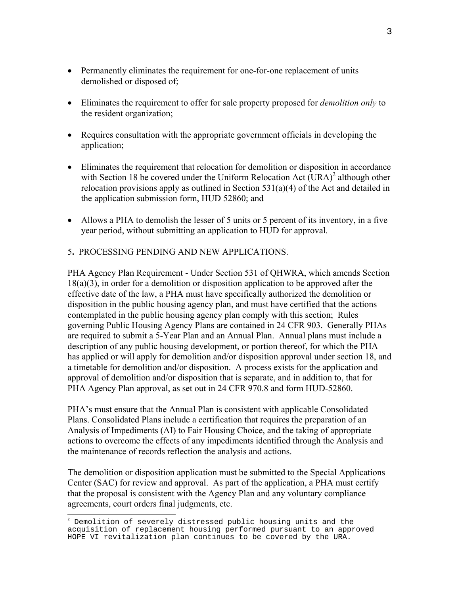- Permanently eliminates the requirement for one-for-one replacement of units demolished or disposed of;
- Eliminates the requirement to offer for sale property proposed for *demolition only* to the resident organization;
- Requires consultation with the appropriate government officials in developing the application;
- Eliminates the requirement that relocation for demolition or disposition in accordance with Section 18 be covered under the Uniform Relocation Act  $(URA)^2$  although other relocation provisions apply as outlined in Section 531(a)(4) of the Act and detailed in the application submission form, HUD 52860; and
- Allows a PHA to demolish the lesser of 5 units or 5 percent of its inventory, in a five year period, without submitting an application to HUD for approval.

### 5**.** PROCESSING PENDING AND NEW APPLICATIONS.

PHA Agency Plan Requirement - Under Section 531 of QHWRA, which amends Section 18(a)(3), in order for a demolition or disposition application to be approved after the effective date of the law, a PHA must have specifically authorized the demolition or disposition in the public housing agency plan, and must have certified that the actions contemplated in the public housing agency plan comply with this section; Rules governing Public Housing Agency Plans are contained in 24 CFR 903. Generally PHAs are required to submit a 5-Year Plan and an Annual Plan. Annual plans must include a description of any public housing development, or portion thereof, for which the PHA has applied or will apply for demolition and/or disposition approval under section 18, and a timetable for demolition and/or disposition. A process exists for the application and approval of demolition and/or disposition that is separate, and in addition to, that for PHA Agency Plan approval, as set out in 24 CFR 970.8 and form HUD-52860.

PHA's must ensure that the Annual Plan is consistent with applicable Consolidated Plans. Consolidated Plans include a certification that requires the preparation of an Analysis of Impediments (AI) to Fair Housing Choice, and the taking of appropriate actions to overcome the effects of any impediments identified through the Analysis and the maintenance of records reflection the analysis and actions.

The demolition or disposition application must be submitted to the Special Applications Center (SAC) for review and approval. As part of the application, a PHA must certify that the proposal is consistent with the Agency Plan and any voluntary compliance agreements, court orders final judgments, etc.

 <sup>2</sup> Demolition of severely distressed public housing units and the acquisition of replacement housing performed pursuant to an approved HOPE VI revitalization plan continues to be covered by the URA.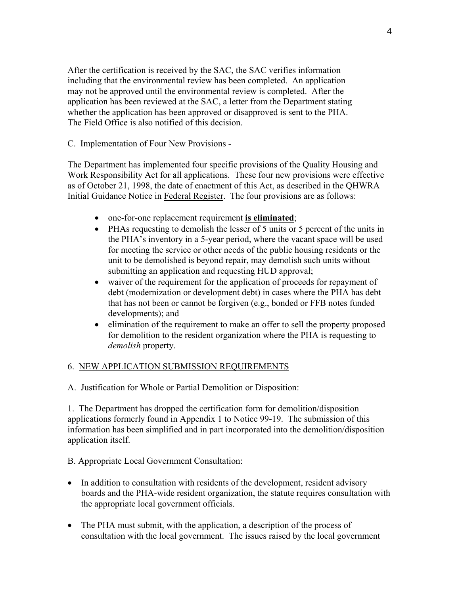After the certification is received by the SAC, the SAC verifies information including that the environmental review has been completed. An application may not be approved until the environmental review is completed. After the application has been reviewed at the SAC, a letter from the Department stating whether the application has been approved or disapproved is sent to the PHA. The Field Office is also notified of this decision.

C. Implementation of Four New Provisions -

The Department has implemented four specific provisions of the Quality Housing and Work Responsibility Act for all applications. These four new provisions were effective as of October 21, 1998, the date of enactment of this Act, as described in the QHWRA Initial Guidance Notice in Federal Register. The four provisions are as follows:

- one-for-one replacement requirement **is eliminated**;
- PHAs requesting to demolish the lesser of 5 units or 5 percent of the units in the PHA's inventory in a 5-year period, where the vacant space will be used for meeting the service or other needs of the public housing residents or the unit to be demolished is beyond repair, may demolish such units without submitting an application and requesting HUD approval;
- waiver of the requirement for the application of proceeds for repayment of debt (modernization or development debt) in cases where the PHA has debt that has not been or cannot be forgiven (e.g., bonded or FFB notes funded developments); and
- elimination of the requirement to make an offer to sell the property proposed for demolition to the resident organization where the PHA is requesting to *demolish* property.

# 6. NEW APPLICATION SUBMISSION REQUIREMENTS

A. Justification for Whole or Partial Demolition or Disposition:

1. The Department has dropped the certification form for demolition/disposition applications formerly found in Appendix 1 to Notice 99-19. The submission of this information has been simplified and in part incorporated into the demolition/disposition application itself.

B. Appropriate Local Government Consultation:

- In addition to consultation with residents of the development, resident advisory boards and the PHA-wide resident organization, the statute requires consultation with the appropriate local government officials.
- The PHA must submit, with the application, a description of the process of consultation with the local government. The issues raised by the local government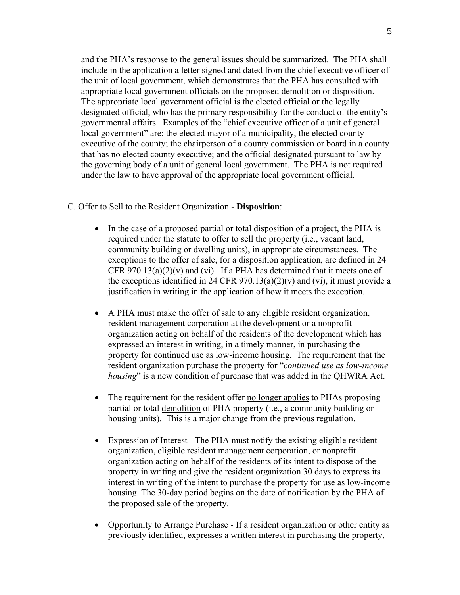and the PHA's response to the general issues should be summarized. The PHA shall include in the application a letter signed and dated from the chief executive officer of the unit of local government, which demonstrates that the PHA has consulted with appropriate local government officials on the proposed demolition or disposition. The appropriate local government official is the elected official or the legally designated official, who has the primary responsibility for the conduct of the entity's governmental affairs. Examples of the "chief executive officer of a unit of general local government" are: the elected mayor of a municipality, the elected county executive of the county; the chairperson of a county commission or board in a county that has no elected county executive; and the official designated pursuant to law by the governing body of a unit of general local government. The PHA is not required under the law to have approval of the appropriate local government official.

#### C. Offer to Sell to the Resident Organization - **Disposition**:

- In the case of a proposed partial or total disposition of a project, the PHA is required under the statute to offer to sell the property (i.e., vacant land, community building or dwelling units), in appropriate circumstances. The exceptions to the offer of sale, for a disposition application, are defined in 24 CFR 970.13(a)(2)(v) and (vi). If a PHA has determined that it meets one of the exceptions identified in 24 CFR 970.13(a)(2)(v) and (vi), it must provide a justification in writing in the application of how it meets the exception.
- A PHA must make the offer of sale to any eligible resident organization, resident management corporation at the development or a nonprofit organization acting on behalf of the residents of the development which has expressed an interest in writing, in a timely manner, in purchasing the property for continued use as low-income housing. The requirement that the resident organization purchase the property for "*continued use as low-income housing*" is a new condition of purchase that was added in the QHWRA Act.
- The requirement for the resident offer no longer applies to PHAs proposing partial or total demolition of PHA property (i.e., a community building or housing units). This is a major change from the previous regulation.
- Expression of Interest The PHA must notify the existing eligible resident organization, eligible resident management corporation, or nonprofit organization acting on behalf of the residents of its intent to dispose of the property in writing and give the resident organization 30 days to express its interest in writing of the intent to purchase the property for use as low-income housing. The 30-day period begins on the date of notification by the PHA of the proposed sale of the property.
- Opportunity to Arrange Purchase If a resident organization or other entity as previously identified, expresses a written interest in purchasing the property,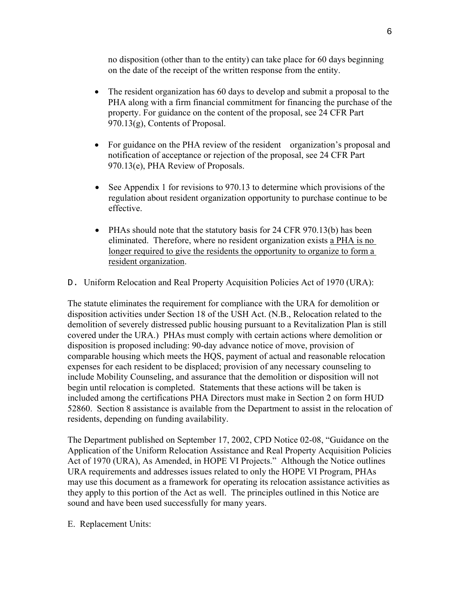no disposition (other than to the entity) can take place for 60 days beginning on the date of the receipt of the written response from the entity.

- The resident organization has 60 days to develop and submit a proposal to the PHA along with a firm financial commitment for financing the purchase of the property. For guidance on the content of the proposal, see 24 CFR Part 970.13(g), Contents of Proposal.
- For guidance on the PHA review of the resident organization's proposal and notification of acceptance or rejection of the proposal, see 24 CFR Part 970.13(e), PHA Review of Proposals.
- See Appendix 1 for revisions to 970.13 to determine which provisions of the regulation about resident organization opportunity to purchase continue to be effective.
- PHAs should note that the statutory basis for 24 CFR 970.13(b) has been eliminated. Therefore, where no resident organization exists a PHA is no longer required to give the residents the opportunity to organize to form a resident organization.
- D. Uniform Relocation and Real Property Acquisition Policies Act of 1970 (URA):

The statute eliminates the requirement for compliance with the URA for demolition or disposition activities under Section 18 of the USH Act. (N.B., Relocation related to the demolition of severely distressed public housing pursuant to a Revitalization Plan is still covered under the URA.) PHAs must comply with certain actions where demolition or disposition is proposed including: 90-day advance notice of move, provision of comparable housing which meets the HQS, payment of actual and reasonable relocation expenses for each resident to be displaced; provision of any necessary counseling to include Mobility Counseling, and assurance that the demolition or disposition will not begin until relocation is completed. Statements that these actions will be taken is included among the certifications PHA Directors must make in Section 2 on form HUD 52860. Section 8 assistance is available from the Department to assist in the relocation of residents, depending on funding availability.

The Department published on September 17, 2002, CPD Notice 02-08, "Guidance on the Application of the Uniform Relocation Assistance and Real Property Acquisition Policies Act of 1970 (URA), As Amended, in HOPE VI Projects." Although the Notice outlines URA requirements and addresses issues related to only the HOPE VI Program, PHAs may use this document as a framework for operating its relocation assistance activities as they apply to this portion of the Act as well. The principles outlined in this Notice are sound and have been used successfully for many years.

E. Replacement Units: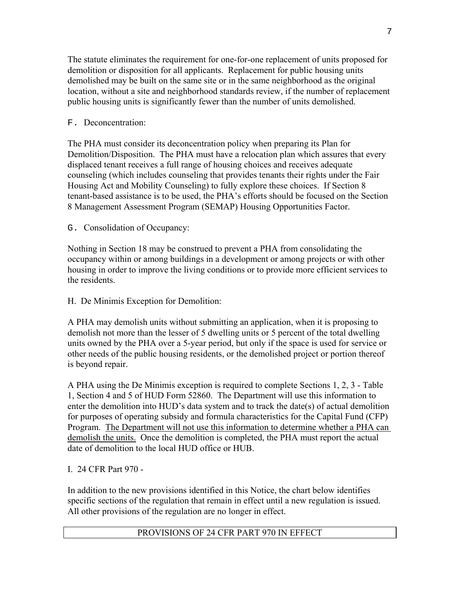The statute eliminates the requirement for one-for-one replacement of units proposed for demolition or disposition for all applicants. Replacement for public housing units demolished may be built on the same site or in the same neighborhood as the original location, without a site and neighborhood standards review, if the number of replacement public housing units is significantly fewer than the number of units demolished.

# F. Deconcentration:

The PHA must consider its deconcentration policy when preparing its Plan for Demolition/Disposition. The PHA must have a relocation plan which assures that every displaced tenant receives a full range of housing choices and receives adequate counseling (which includes counseling that provides tenants their rights under the Fair Housing Act and Mobility Counseling) to fully explore these choices. If Section 8 tenant-based assistance is to be used, the PHA's efforts should be focused on the Section 8 Management Assessment Program (SEMAP) Housing Opportunities Factor.

G. Consolidation of Occupancy:

Nothing in Section 18 may be construed to prevent a PHA from consolidating the occupancy within or among buildings in a development or among projects or with other housing in order to improve the living conditions or to provide more efficient services to the residents.

H. De Minimis Exception for Demolition:

A PHA may demolish units without submitting an application, when it is proposing to demolish not more than the lesser of 5 dwelling units or 5 percent of the total dwelling units owned by the PHA over a 5-year period, but only if the space is used for service or other needs of the public housing residents, or the demolished project or portion thereof is beyond repair.

A PHA using the De Minimis exception is required to complete Sections 1, 2, 3 - Table 1, Section 4 and 5 of HUD Form 52860. The Department will use this information to enter the demolition into HUD's data system and to track the date(s) of actual demolition for purposes of operating subsidy and formula characteristics for the Capital Fund (CFP) Program. The Department will not use this information to determine whether a PHA can demolish the units. Once the demolition is completed, the PHA must report the actual date of demolition to the local HUD office or HUB.

I. 24 CFR Part 970 -

In addition to the new provisions identified in this Notice, the chart below identifies specific sections of the regulation that remain in effect until a new regulation is issued. All other provisions of the regulation are no longer in effect.

# PROVISIONS OF 24 CFR PART 970 IN EFFECT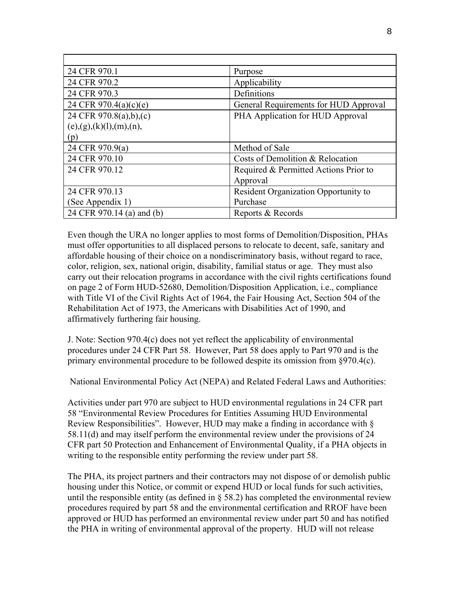| 24 CFR 970.1              | Purpose                               |
|---------------------------|---------------------------------------|
| 24 CFR 970.2              | Applicability                         |
| 24 CFR 970.3              | Definitions                           |
| 24 CFR 970.4(a)(c)(e)     | General Requirements for HUD Approval |
| 24 CFR 970.8(a),b),(c)    | PHA Application for HUD Approval      |
| (e),(g),(k)(l),(m),(n),   |                                       |
| (p)                       |                                       |
| 24 CFR 970.9(a)           | Method of Sale                        |
| 24 CFR 970.10             | Costs of Demolition & Relocation      |
| 24 CFR 970.12             | Required & Permitted Actions Prior to |
|                           | Approval                              |
| 24 CFR 970.13             | Resident Organization Opportunity to  |
| (See Appendix 1)          | Purchase                              |
| 24 CFR 970.14 (a) and (b) | Reports & Records                     |

Even though the URA no longer applies to most forms of Demolition/Disposition, PHAs must offer opportunities to all displaced persons to relocate to decent, safe, sanitary and affordable housing of their choice on a nondiscriminatory basis, without regard to race, color, religion, sex, national origin, disability, familial status or age. They must also carry out their relocation programs in accordance with the civil rights certifications found on page 2 of Form HUD-52680, Demolition/Disposition Application, i.e., compliance with Title VI of the Civil Rights Act of 1964, the Fair Housing Act, Section 504 of the Rehabilitation Act of 1973, the Americans with Disabilities Act of 1990, and affirmatively furthering fair housing.

J. Note: Section 970.4(c) does not yet reflect the applicability of environmental procedures under 24 CFR Part 58. However, Part 58 does apply to Part 970 and is the primary environmental procedure to be followed despite its omission from §970.4(c).

National Environmental Policy Act (NEPA) and Related Federal Laws and Authorities:

Activities under part 970 are subject to HUD environmental regulations in 24 CFR part 58 "Environmental Review Procedures for Entities Assuming HUD Environmental Review Responsibilities". However, HUD may make a finding in accordance with § 58.11(d) and may itself perform the environmental review under the provisions of 24 CFR part 50 Protection and Enhancement of Environmental Quality, if a PHA objects in writing to the responsible entity performing the review under part 58.

The PHA, its project partners and their contractors may not dispose of or demolish public housing under this Notice, or commit or expend HUD or local funds for such activities, until the responsible entity (as defined in  $\S$  58.2) has completed the environmental review procedures required by part 58 and the environmental certification and RROF have been approved or HUD has performed an environmental review under part 50 and has notified the PHA in writing of environmental approval of the property. HUD will not release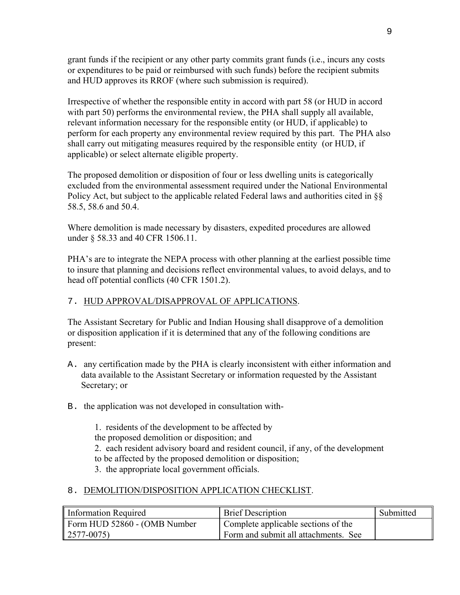grant funds if the recipient or any other party commits grant funds (i.e., incurs any costs or expenditures to be paid or reimbursed with such funds) before the recipient submits and HUD approves its RROF (where such submission is required).

Irrespective of whether the responsible entity in accord with part 58 (or HUD in accord with part 50) performs the environmental review, the PHA shall supply all available, relevant information necessary for the responsible entity (or HUD, if applicable) to perform for each property any environmental review required by this part. The PHA also shall carry out mitigating measures required by the responsible entity (or HUD, if applicable) or select alternate eligible property.

The proposed demolition or disposition of four or less dwelling units is categorically excluded from the environmental assessment required under the National Environmental Policy Act, but subject to the applicable related Federal laws and authorities cited in §§ 58.5, 58.6 and 50.4.

Where demolition is made necessary by disasters, expedited procedures are allowed under § 58.33 and 40 CFR 1506.11.

PHA's are to integrate the NEPA process with other planning at the earliest possible time to insure that planning and decisions reflect environmental values, to avoid delays, and to head off potential conflicts (40 CFR 1501.2).

### 7. HUD APPROVAL/DISAPPROVAL OF APPLICATIONS.

The Assistant Secretary for Public and Indian Housing shall disapprove of a demolition or disposition application if it is determined that any of the following conditions are present:

- A. any certification made by the PHA is clearly inconsistent with either information and data available to the Assistant Secretary or information requested by the Assistant Secretary; or
- B. the application was not developed in consultation with-

1. residents of the development to be affected by the proposed demolition or disposition; and 2. each resident advisory board and resident council, if any, of the development to be affected by the proposed demolition or disposition; 3. the appropriate local government officials.

### 8. DEMOLITION/DISPOSITION APPLICATION CHECKLIST.

| Information Required         | <b>Brief Description</b>             | Submitted |
|------------------------------|--------------------------------------|-----------|
| Form HUD 52860 - (OMB Number | Complete applicable sections of the  |           |
| $\parallel$ 2577-0075)       | Form and submit all attachments. See |           |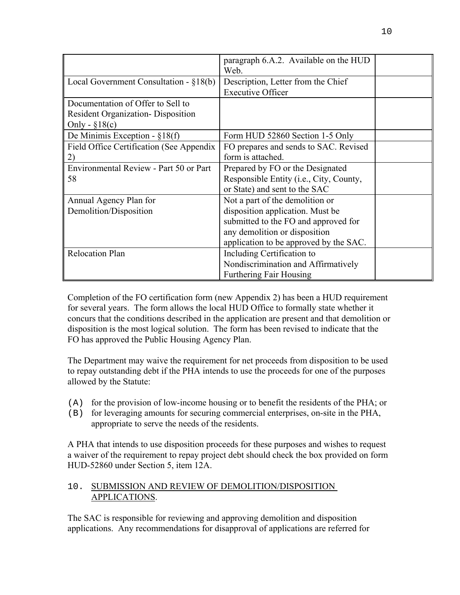|                                                                                                   | paragraph 6.A.2. Available on the HUD<br>Web.                            |  |
|---------------------------------------------------------------------------------------------------|--------------------------------------------------------------------------|--|
| Local Government Consultation - $\S 18(b)$                                                        | Description, Letter from the Chief<br><b>Executive Officer</b>           |  |
| Documentation of Offer to Sell to<br><b>Resident Organization-</b> Disposition<br>Only - $$18(c)$ |                                                                          |  |
| De Minimis Exception - $\S 18(f)$                                                                 | Form HUD 52860 Section 1-5 Only                                          |  |
| Field Office Certification (See Appendix<br>2)                                                    | FO prepares and sends to SAC. Revised<br>form is attached.               |  |
| Environmental Review - Part 50 or Part                                                            | Prepared by FO or the Designated                                         |  |
| 58                                                                                                | Responsible Entity (i.e., City, County,<br>or State) and sent to the SAC |  |
| Annual Agency Plan for                                                                            | Not a part of the demolition or                                          |  |
| Demolition/Disposition                                                                            | disposition application. Must be                                         |  |
|                                                                                                   | submitted to the FO and approved for                                     |  |
|                                                                                                   | any demolition or disposition                                            |  |
|                                                                                                   | application to be approved by the SAC.                                   |  |
| <b>Relocation Plan</b>                                                                            | Including Certification to                                               |  |
|                                                                                                   | Nondiscrimination and Affirmatively                                      |  |
|                                                                                                   | <b>Furthering Fair Housing</b>                                           |  |

Completion of the FO certification form (new Appendix 2) has been a HUD requirement for several years. The form allows the local HUD Office to formally state whether it concurs that the conditions described in the application are present and that demolition or disposition is the most logical solution. The form has been revised to indicate that the FO has approved the Public Housing Agency Plan.

The Department may waive the requirement for net proceeds from disposition to be used to repay outstanding debt if the PHA intends to use the proceeds for one of the purposes allowed by the Statute:

- (A) for the provision of low-income housing or to benefit the residents of the PHA; or
- (B) for leveraging amounts for securing commercial enterprises, on-site in the PHA, appropriate to serve the needs of the residents.

A PHA that intends to use disposition proceeds for these purposes and wishes to request a waiver of the requirement to repay project debt should check the box provided on form HUD-52860 under Section 5, item 12A.

# 10. SUBMISSION AND REVIEW OF DEMOLITION/DISPOSITION APPLICATIONS.

The SAC is responsible for reviewing and approving demolition and disposition applications. Any recommendations for disapproval of applications are referred for